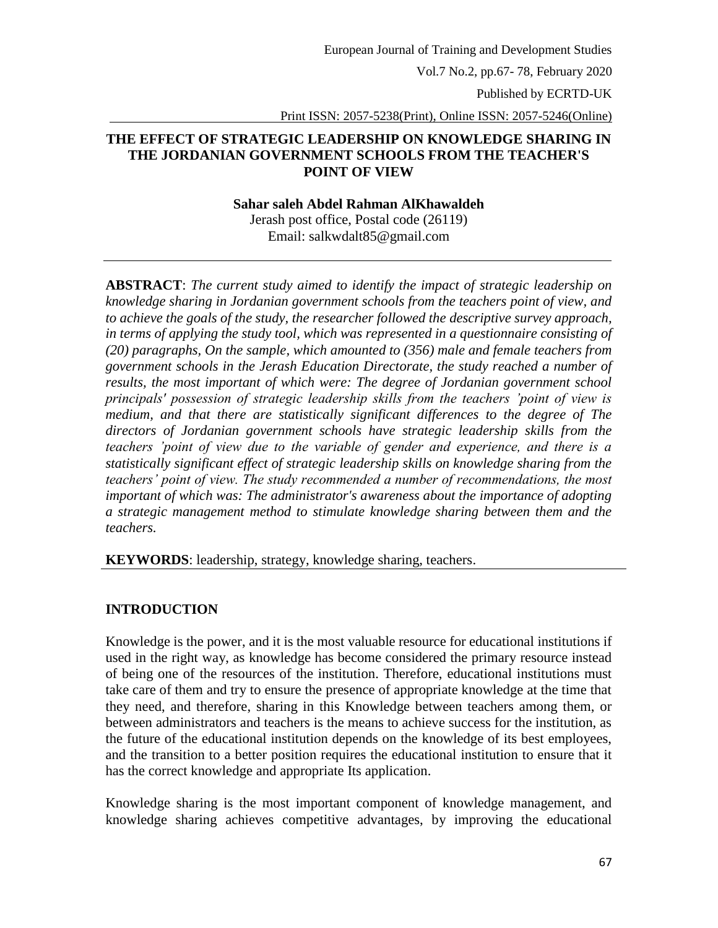Vol.7 No.2, pp.67- 78, February 2020

Published by ECRTD-UK

Print ISSN: 2057-5238(Print), Online ISSN: 2057-5246(Online)

### **THE EFFECT OF STRATEGIC LEADERSHIP ON KNOWLEDGE SHARING IN THE JORDANIAN GOVERNMENT SCHOOLS FROM THE TEACHER'S POINT OF VIEW**

#### **Sahar saleh Abdel Rahman AlKhawaldeh**

Jerash post office, Postal code (26119) Email: salkwdalt85@gmail.com

**ABSTRACT**: *The current study aimed to identify the impact of strategic leadership on knowledge sharing in Jordanian government schools from the teachers point of view, and to achieve the goals of the study, the researcher followed the descriptive survey approach, in terms of applying the study tool, which was represented in a questionnaire consisting of (20) paragraphs, On the sample, which amounted to (356) male and female teachers from government schools in the Jerash Education Directorate, the study reached a number of results, the most important of which were: The degree of Jordanian government school principals' possession of strategic leadership skills from the teachers 'point of view is medium, and that there are statistically significant differences to the degree of The directors of Jordanian government schools have strategic leadership skills from the teachers 'point of view due to the variable of gender and experience, and there is a statistically significant effect of strategic leadership skills on knowledge sharing from the teachers' point of view. The study recommended a number of recommendations, the most important of which was: The administrator's awareness about the importance of adopting a strategic management method to stimulate knowledge sharing between them and the teachers.*

**KEYWORDS**: leadership, strategy, knowledge sharing, teachers.

#### **INTRODUCTION**

Knowledge is the power, and it is the most valuable resource for educational institutions if used in the right way, as knowledge has become considered the primary resource instead of being one of the resources of the institution. Therefore, educational institutions must take care of them and try to ensure the presence of appropriate knowledge at the time that they need, and therefore, sharing in this Knowledge between teachers among them, or between administrators and teachers is the means to achieve success for the institution, as the future of the educational institution depends on the knowledge of its best employees, and the transition to a better position requires the educational institution to ensure that it has the correct knowledge and appropriate Its application.

Knowledge sharing is the most important component of knowledge management, and knowledge sharing achieves competitive advantages, by improving the educational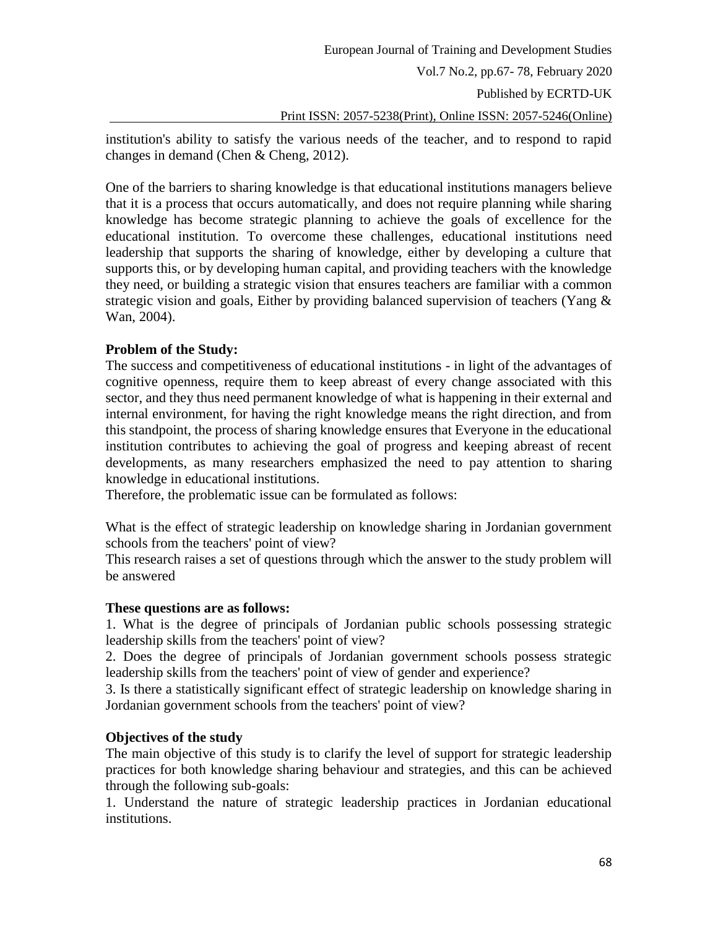institution's ability to satisfy the various needs of the teacher, and to respond to rapid changes in demand (Chen & Cheng, 2012).

One of the barriers to sharing knowledge is that educational institutions managers believe that it is a process that occurs automatically, and does not require planning while sharing knowledge has become strategic planning to achieve the goals of excellence for the educational institution. To overcome these challenges, educational institutions need leadership that supports the sharing of knowledge, either by developing a culture that supports this, or by developing human capital, and providing teachers with the knowledge they need, or building a strategic vision that ensures teachers are familiar with a common strategic vision and goals, Either by providing balanced supervision of teachers (Yang  $\&$ Wan, 2004).

# **Problem of the Study:**

The success and competitiveness of educational institutions - in light of the advantages of cognitive openness, require them to keep abreast of every change associated with this sector, and they thus need permanent knowledge of what is happening in their external and internal environment, for having the right knowledge means the right direction, and from this standpoint, the process of sharing knowledge ensures that Everyone in the educational institution contributes to achieving the goal of progress and keeping abreast of recent developments, as many researchers emphasized the need to pay attention to sharing knowledge in educational institutions.

Therefore, the problematic issue can be formulated as follows:

What is the effect of strategic leadership on knowledge sharing in Jordanian government schools from the teachers' point of view?

This research raises a set of questions through which the answer to the study problem will be answered

# **These questions are as follows:**

1. What is the degree of principals of Jordanian public schools possessing strategic leadership skills from the teachers' point of view?

2. Does the degree of principals of Jordanian government schools possess strategic leadership skills from the teachers' point of view of gender and experience?

3. Is there a statistically significant effect of strategic leadership on knowledge sharing in Jordanian government schools from the teachers' point of view?

# **Objectives of the study**

The main objective of this study is to clarify the level of support for strategic leadership practices for both knowledge sharing behaviour and strategies, and this can be achieved through the following sub-goals:

1. Understand the nature of strategic leadership practices in Jordanian educational institutions.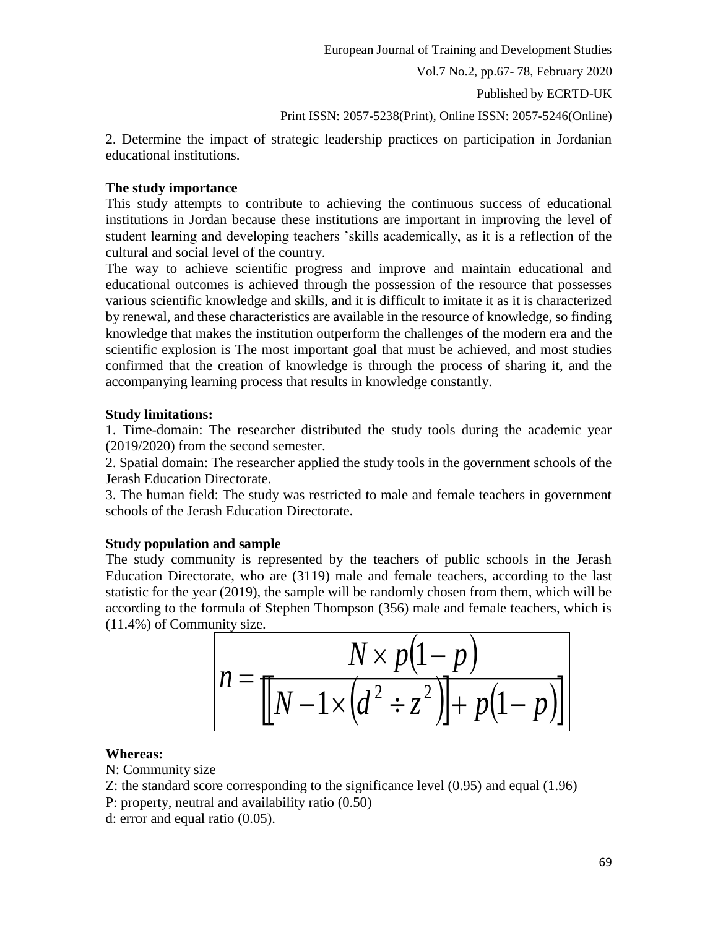Published by ECRTD-UK

Print ISSN: 2057-5238(Print), Online ISSN: 2057-5246(Online)

2. Determine the impact of strategic leadership practices on participation in Jordanian educational institutions.

### **The study importance**

This study attempts to contribute to achieving the continuous success of educational institutions in Jordan because these institutions are important in improving the level of student learning and developing teachers 'skills academically, as it is a reflection of the cultural and social level of the country.

The way to achieve scientific progress and improve and maintain educational and educational outcomes is achieved through the possession of the resource that possesses various scientific knowledge and skills, and it is difficult to imitate it as it is characterized by renewal, and these characteristics are available in the resource of knowledge, so finding knowledge that makes the institution outperform the challenges of the modern era and the scientific explosion is The most important goal that must be achieved, and most studies confirmed that the creation of knowledge is through the process of sharing it, and the accompanying learning process that results in knowledge constantly.

### **Study limitations:**

1. Time-domain: The researcher distributed the study tools during the academic year (2019/2020) from the second semester.

2. Spatial domain: The researcher applied the study tools in the government schools of the Jerash Education Directorate.

3. The human field: The study was restricted to male and female teachers in government schools of the Jerash Education Directorate.

# **Study population and sample**

The study community is represented by the teachers of public schools in the Jerash Education Directorate, who are (3119) male and female teachers, according to the last statistic for the year (2019), the sample will be randomly chosen from them, which will be according to the formula of Stephen Thompson (356) male and female teachers, which is (11.4%) of Community size.

$$
n = \frac{N \times p(1-p)}{[N-1 \times (d^2 \div z^2)] + p(1-p)]}
$$

# **Whereas:**

N: Community size

Z: the standard score corresponding to the significance level (0.95) and equal (1.96)

- P: property, neutral and availability ratio (0.50)
- d: error and equal ratio (0.05).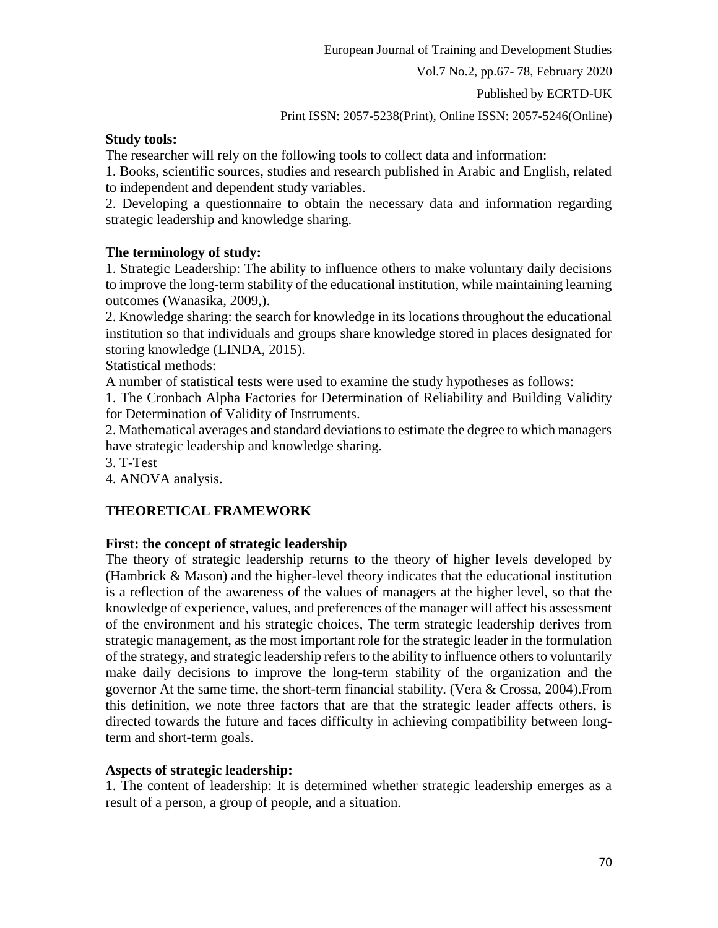Published by ECRTD-UK

Print ISSN: 2057-5238(Print), Online ISSN: 2057-5246(Online)

### **Study tools:**

The researcher will rely on the following tools to collect data and information:

1. Books, scientific sources, studies and research published in Arabic and English, related to independent and dependent study variables.

2. Developing a questionnaire to obtain the necessary data and information regarding strategic leadership and knowledge sharing.

### **The terminology of study:**

1. Strategic Leadership: The ability to influence others to make voluntary daily decisions to improve the long-term stability of the educational institution, while maintaining learning outcomes (Wanasika, 2009,).

2. Knowledge sharing: the search for knowledge in its locations throughout the educational institution so that individuals and groups share knowledge stored in places designated for storing knowledge (LINDA, 2015).

Statistical methods:

A number of statistical tests were used to examine the study hypotheses as follows:

1. The Cronbach Alpha Factories for Determination of Reliability and Building Validity for Determination of Validity of Instruments.

2. Mathematical averages and standard deviations to estimate the degree to which managers have strategic leadership and knowledge sharing.

3. T-Test

4. ANOVA analysis.

# **THEORETICAL FRAMEWORK**

# **First: the concept of strategic leadership**

The theory of strategic leadership returns to the theory of higher levels developed by (Hambrick & Mason) and the higher-level theory indicates that the educational institution is a reflection of the awareness of the values of managers at the higher level, so that the knowledge of experience, values, and preferences of the manager will affect his assessment of the environment and his strategic choices, The term strategic leadership derives from strategic management, as the most important role for the strategic leader in the formulation of the strategy, and strategic leadership refers to the ability to influence others to voluntarily make daily decisions to improve the long-term stability of the organization and the governor At the same time, the short-term financial stability. (Vera & Crossa, 2004).From this definition, we note three factors that are that the strategic leader affects others, is directed towards the future and faces difficulty in achieving compatibility between longterm and short-term goals.

#### **Aspects of strategic leadership:**

1. The content of leadership: It is determined whether strategic leadership emerges as a result of a person, a group of people, and a situation.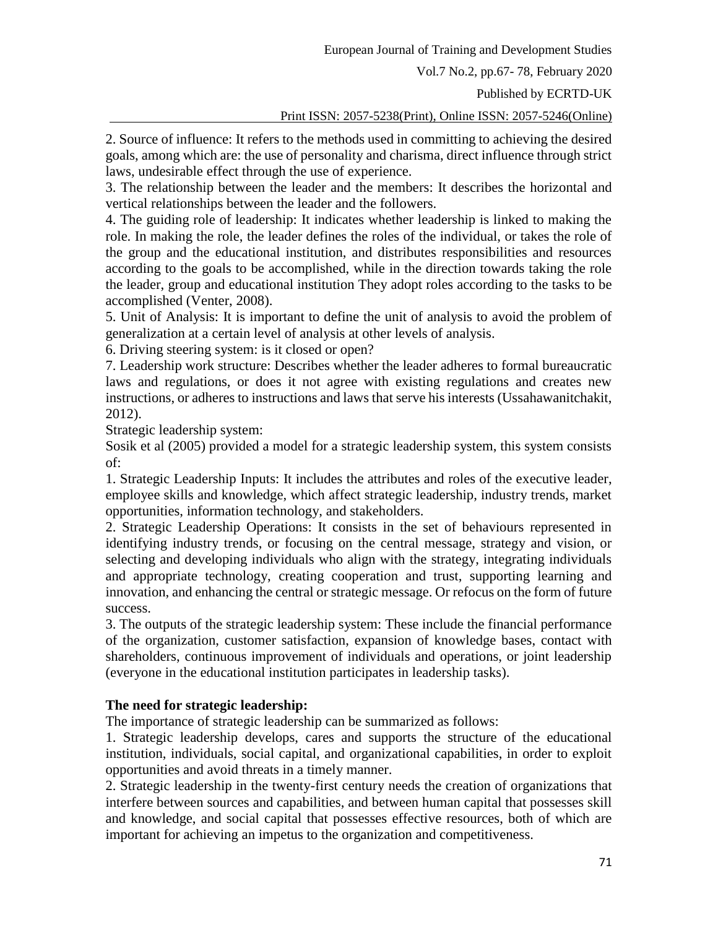Vol.7 No.2, pp.67- 78, February 2020

Published by ECRTD-UK

Print ISSN: 2057-5238(Print), Online ISSN: 2057-5246(Online)

2. Source of influence: It refers to the methods used in committing to achieving the desired goals, among which are: the use of personality and charisma, direct influence through strict laws, undesirable effect through the use of experience.

3. The relationship between the leader and the members: It describes the horizontal and vertical relationships between the leader and the followers.

4. The guiding role of leadership: It indicates whether leadership is linked to making the role. In making the role, the leader defines the roles of the individual, or takes the role of the group and the educational institution, and distributes responsibilities and resources according to the goals to be accomplished, while in the direction towards taking the role the leader, group and educational institution They adopt roles according to the tasks to be accomplished (Venter, 2008).

5. Unit of Analysis: It is important to define the unit of analysis to avoid the problem of generalization at a certain level of analysis at other levels of analysis.

6. Driving steering system: is it closed or open?

7. Leadership work structure: Describes whether the leader adheres to formal bureaucratic laws and regulations, or does it not agree with existing regulations and creates new instructions, or adheres to instructions and laws that serve his interests (Ussahawanitchakit, 2012).

Strategic leadership system:

Sosik et al (2005) provided a model for a strategic leadership system, this system consists of:

1. Strategic Leadership Inputs: It includes the attributes and roles of the executive leader, employee skills and knowledge, which affect strategic leadership, industry trends, market opportunities, information technology, and stakeholders.

2. Strategic Leadership Operations: It consists in the set of behaviours represented in identifying industry trends, or focusing on the central message, strategy and vision, or selecting and developing individuals who align with the strategy, integrating individuals and appropriate technology, creating cooperation and trust, supporting learning and innovation, and enhancing the central or strategic message. Or refocus on the form of future success.

3. The outputs of the strategic leadership system: These include the financial performance of the organization, customer satisfaction, expansion of knowledge bases, contact with shareholders, continuous improvement of individuals and operations, or joint leadership (everyone in the educational institution participates in leadership tasks).

# **The need for strategic leadership:**

The importance of strategic leadership can be summarized as follows:

1. Strategic leadership develops, cares and supports the structure of the educational institution, individuals, social capital, and organizational capabilities, in order to exploit opportunities and avoid threats in a timely manner.

2. Strategic leadership in the twenty-first century needs the creation of organizations that interfere between sources and capabilities, and between human capital that possesses skill and knowledge, and social capital that possesses effective resources, both of which are important for achieving an impetus to the organization and competitiveness.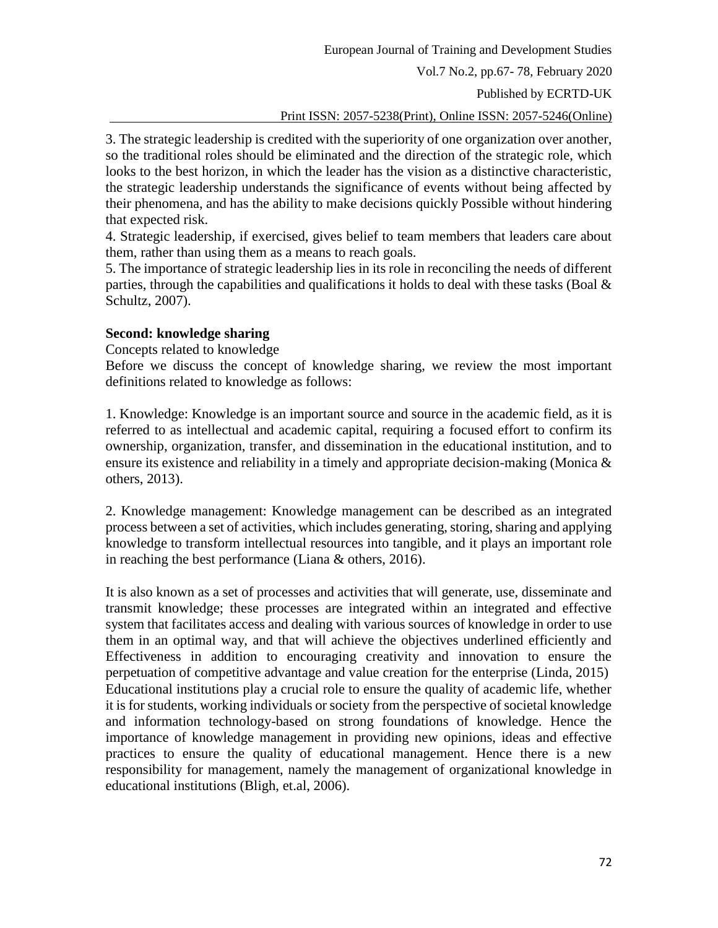Vol.7 No.2, pp.67- 78, February 2020

Published by ECRTD-UK

Print ISSN: 2057-5238(Print), Online ISSN: 2057-5246(Online)

3. The strategic leadership is credited with the superiority of one organization over another, so the traditional roles should be eliminated and the direction of the strategic role, which looks to the best horizon, in which the leader has the vision as a distinctive characteristic, the strategic leadership understands the significance of events without being affected by their phenomena, and has the ability to make decisions quickly Possible without hindering that expected risk.

4. Strategic leadership, if exercised, gives belief to team members that leaders care about them, rather than using them as a means to reach goals.

5. The importance of strategic leadership lies in its role in reconciling the needs of different parties, through the capabilities and qualifications it holds to deal with these tasks (Boal  $\&$ Schultz, 2007).

#### **Second: knowledge sharing**

Concepts related to knowledge

Before we discuss the concept of knowledge sharing, we review the most important definitions related to knowledge as follows:

1. Knowledge: Knowledge is an important source and source in the academic field, as it is referred to as intellectual and academic capital, requiring a focused effort to confirm its ownership, organization, transfer, and dissemination in the educational institution, and to ensure its existence and reliability in a timely and appropriate decision-making (Monica  $\&$ others, 2013).

2. Knowledge management: Knowledge management can be described as an integrated process between a set of activities, which includes generating, storing, sharing and applying knowledge to transform intellectual resources into tangible, and it plays an important role in reaching the best performance (Liana & others, 2016).

It is also known as a set of processes and activities that will generate, use, disseminate and transmit knowledge; these processes are integrated within an integrated and effective system that facilitates access and dealing with various sources of knowledge in order to use them in an optimal way, and that will achieve the objectives underlined efficiently and Effectiveness in addition to encouraging creativity and innovation to ensure the perpetuation of competitive advantage and value creation for the enterprise (Linda, 2015) Educational institutions play a crucial role to ensure the quality of academic life, whether it is for students, working individuals or society from the perspective of societal knowledge and information technology-based on strong foundations of knowledge. Hence the importance of knowledge management in providing new opinions, ideas and effective practices to ensure the quality of educational management. Hence there is a new responsibility for management, namely the management of organizational knowledge in educational institutions (Bligh, et.al, 2006).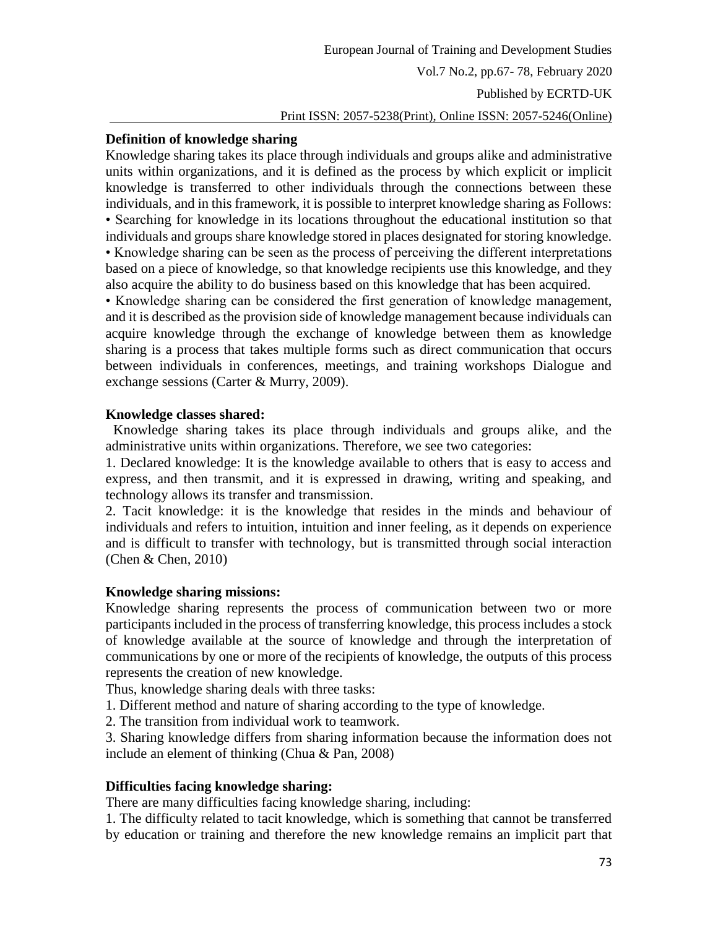### **Definition of knowledge sharing**

Knowledge sharing takes its place through individuals and groups alike and administrative units within organizations, and it is defined as the process by which explicit or implicit knowledge is transferred to other individuals through the connections between these individuals, and in this framework, it is possible to interpret knowledge sharing as Follows: • Searching for knowledge in its locations throughout the educational institution so that individuals and groups share knowledge stored in places designated for storing knowledge. • Knowledge sharing can be seen as the process of perceiving the different interpretations based on a piece of knowledge, so that knowledge recipients use this knowledge, and they also acquire the ability to do business based on this knowledge that has been acquired.

• Knowledge sharing can be considered the first generation of knowledge management, and it is described as the provision side of knowledge management because individuals can acquire knowledge through the exchange of knowledge between them as knowledge sharing is a process that takes multiple forms such as direct communication that occurs between individuals in conferences, meetings, and training workshops Dialogue and exchange sessions (Carter & Murry, 2009).

### **Knowledge classes shared:**

Knowledge sharing takes its place through individuals and groups alike, and the administrative units within organizations. Therefore, we see two categories:

1. Declared knowledge: It is the knowledge available to others that is easy to access and express, and then transmit, and it is expressed in drawing, writing and speaking, and technology allows its transfer and transmission.

2. Tacit knowledge: it is the knowledge that resides in the minds and behaviour of individuals and refers to intuition, intuition and inner feeling, as it depends on experience and is difficult to transfer with technology, but is transmitted through social interaction (Chen & Chen, 2010)

#### **Knowledge sharing missions:**

Knowledge sharing represents the process of communication between two or more participants included in the process of transferring knowledge, this process includes a stock of knowledge available at the source of knowledge and through the interpretation of communications by one or more of the recipients of knowledge, the outputs of this process represents the creation of new knowledge.

Thus, knowledge sharing deals with three tasks:

1. Different method and nature of sharing according to the type of knowledge.

2. The transition from individual work to teamwork.

3. Sharing knowledge differs from sharing information because the information does not include an element of thinking (Chua & Pan, 2008)

# **Difficulties facing knowledge sharing:**

There are many difficulties facing knowledge sharing, including:

1. The difficulty related to tacit knowledge, which is something that cannot be transferred by education or training and therefore the new knowledge remains an implicit part that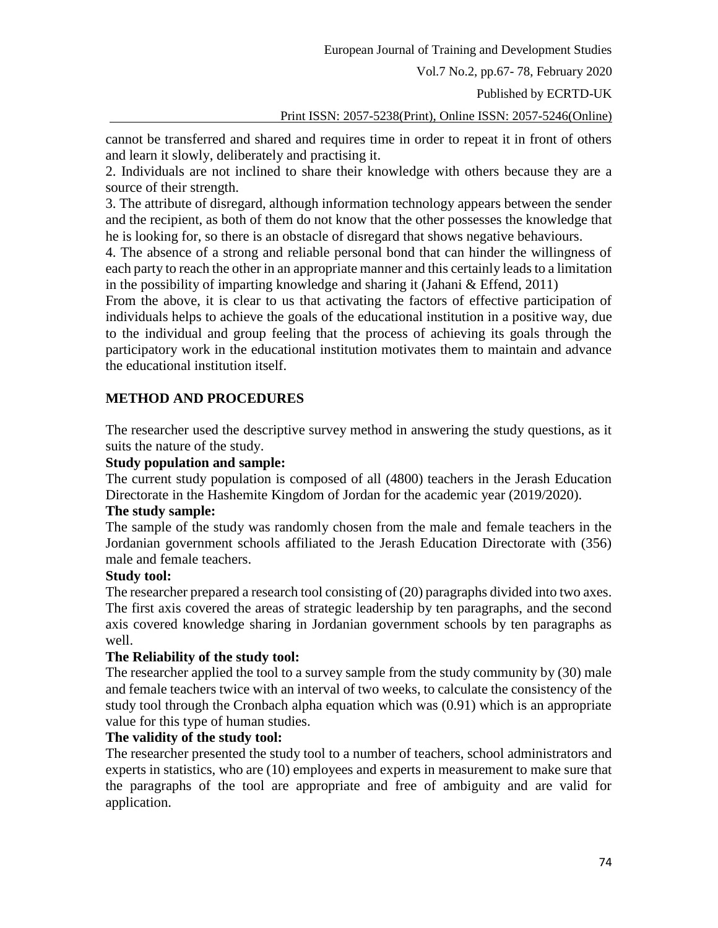Published by ECRTD-UK

Print ISSN: 2057-5238(Print), Online ISSN: 2057-5246(Online)

cannot be transferred and shared and requires time in order to repeat it in front of others and learn it slowly, deliberately and practising it.

2. Individuals are not inclined to share their knowledge with others because they are a source of their strength.

3. The attribute of disregard, although information technology appears between the sender and the recipient, as both of them do not know that the other possesses the knowledge that he is looking for, so there is an obstacle of disregard that shows negative behaviours.

4. The absence of a strong and reliable personal bond that can hinder the willingness of each party to reach the other in an appropriate manner and this certainly leads to a limitation in the possibility of imparting knowledge and sharing it (Jahani & Effend, 2011)

From the above, it is clear to us that activating the factors of effective participation of individuals helps to achieve the goals of the educational institution in a positive way, due to the individual and group feeling that the process of achieving its goals through the participatory work in the educational institution motivates them to maintain and advance the educational institution itself.

# **METHOD AND PROCEDURES**

The researcher used the descriptive survey method in answering the study questions, as it suits the nature of the study.

#### **Study population and sample:**

The current study population is composed of all (4800) teachers in the Jerash Education Directorate in the Hashemite Kingdom of Jordan for the academic year (2019/2020).

#### **The study sample:**

The sample of the study was randomly chosen from the male and female teachers in the Jordanian government schools affiliated to the Jerash Education Directorate with (356) male and female teachers.

# **Study tool:**

The researcher prepared a research tool consisting of (20) paragraphs divided into two axes. The first axis covered the areas of strategic leadership by ten paragraphs, and the second axis covered knowledge sharing in Jordanian government schools by ten paragraphs as well.

#### **The Reliability of the study tool:**

The researcher applied the tool to a survey sample from the study community by (30) male and female teachers twice with an interval of two weeks, to calculate the consistency of the study tool through the Cronbach alpha equation which was (0.91) which is an appropriate value for this type of human studies.

### **The validity of the study tool:**

The researcher presented the study tool to a number of teachers, school administrators and experts in statistics, who are (10) employees and experts in measurement to make sure that the paragraphs of the tool are appropriate and free of ambiguity and are valid for application.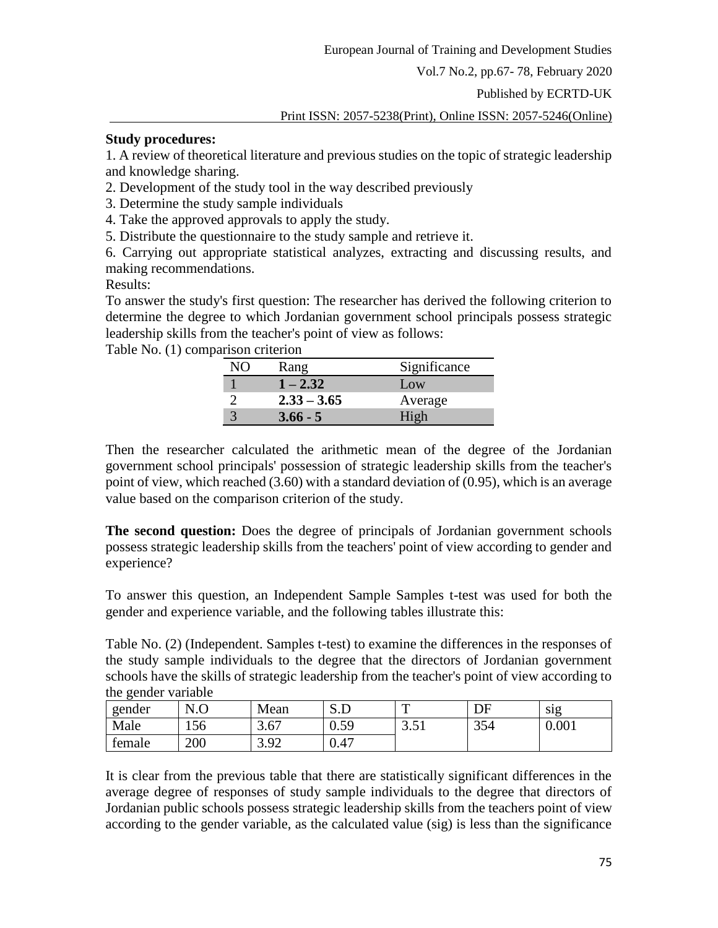Published by ECRTD-UK

Print ISSN: 2057-5238(Print), Online ISSN: 2057-5246(Online)

#### **Study procedures:**

1. A review of theoretical literature and previous studies on the topic of strategic leadership and knowledge sharing.

2. Development of the study tool in the way described previously

3. Determine the study sample individuals

4. Take the approved approvals to apply the study.

5. Distribute the questionnaire to the study sample and retrieve it.

6. Carrying out appropriate statistical analyzes, extracting and discussing results, and making recommendations.

Results:

To answer the study's first question: The researcher has derived the following criterion to determine the degree to which Jordanian government school principals possess strategic leadership skills from the teacher's point of view as follows:

Table No. (1) comparison criterion

| <b>Rang</b>   | Significance |
|---------------|--------------|
| $1 - 2.32$    | Low          |
| $2.33 - 3.65$ | Average      |
| $3.66 - 5$    | High         |

Then the researcher calculated the arithmetic mean of the degree of the Jordanian government school principals' possession of strategic leadership skills from the teacher's point of view, which reached (3.60) with a standard deviation of (0.95), which is an average value based on the comparison criterion of the study.

**The second question:** Does the degree of principals of Jordanian government schools possess strategic leadership skills from the teachers' point of view according to gender and experience?

To answer this question, an Independent Sample Samples t-test was used for both the gender and experience variable, and the following tables illustrate this:

Table No. (2) (Independent. Samples t-test) to examine the differences in the responses of the study sample individuals to the degree that the directors of Jordanian government schools have the skills of strategic leadership from the teacher's point of view according to the gender variable

| $\tilde{\phantom{a}}$<br>gender | N <sub>0</sub> | Mean                 | ىل د               | ௱                          | DF  | sig   |
|---------------------------------|----------------|----------------------|--------------------|----------------------------|-----|-------|
| Male                            | 156            | 3.67                 | -59<br>v. <i>j</i> | $\sim$<br>بہ ہے .<br>J.J 1 | 354 | 0.001 |
| female                          | 200            | 3 Q2<br>J.J <i>L</i> | 0.47               |                            |     |       |

It is clear from the previous table that there are statistically significant differences in the average degree of responses of study sample individuals to the degree that directors of Jordanian public schools possess strategic leadership skills from the teachers point of view according to the gender variable, as the calculated value (sig) is less than the significance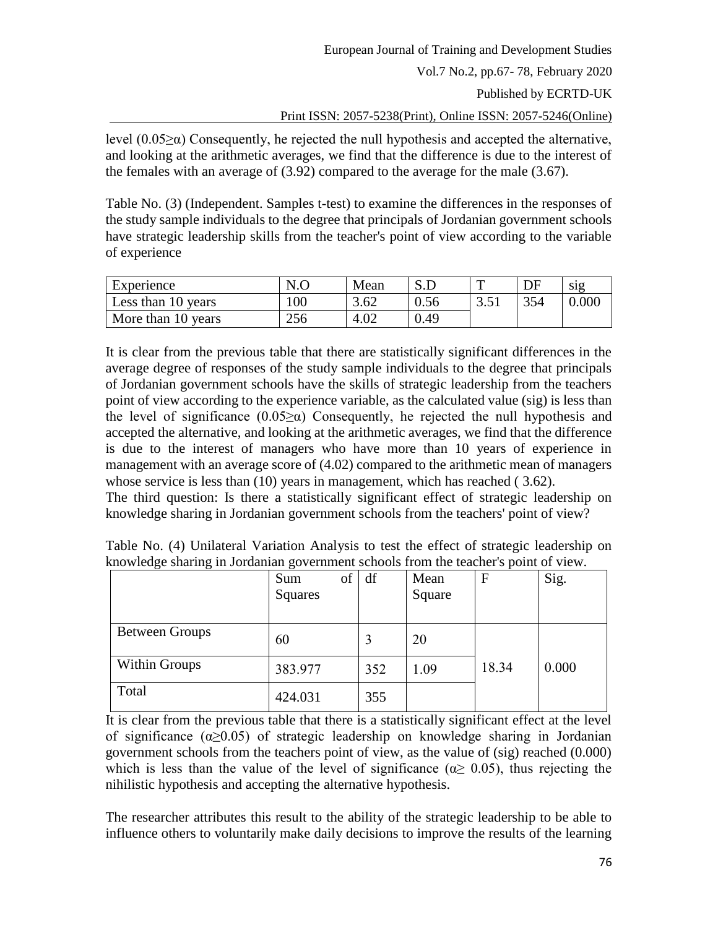Published by ECRTD-UK

Print ISSN: 2057-5238(Print), Online ISSN: 2057-5246(Online)

level  $(0.05\ge\alpha)$  Consequently, he rejected the null hypothesis and accepted the alternative, and looking at the arithmetic averages, we find that the difference is due to the interest of the females with an average of (3.92) compared to the average for the male (3.67).

Table No. (3) (Independent. Samples t-test) to examine the differences in the responses of the study sample individuals to the degree that principals of Jordanian government schools have strategic leadership skills from the teacher's point of view according to the variable of experience

| Experience         | N.C | Mean |      | m    | DF  | sig   |
|--------------------|-----|------|------|------|-----|-------|
| Less than 10 years | 100 | 3.62 | 0.56 | 3.51 | 354 | 0.000 |
| More than 10 years | 256 | 4.02 | 0.49 |      |     |       |

It is clear from the previous table that there are statistically significant differences in the average degree of responses of the study sample individuals to the degree that principals of Jordanian government schools have the skills of strategic leadership from the teachers point of view according to the experience variable, as the calculated value (sig) is less than the level of significance  $(0.05\ge\alpha)$  Consequently, he rejected the null hypothesis and accepted the alternative, and looking at the arithmetic averages, we find that the difference is due to the interest of managers who have more than 10 years of experience in management with an average score of (4.02) compared to the arithmetic mean of managers whose service is less than (10) years in management, which has reached (3.62).

The third question: Is there a statistically significant effect of strategic leadership on knowledge sharing in Jordanian government schools from the teachers' point of view?

| Table No. (4) Unilateral Variation Analysis to test the effect of strategic leadership on |            |            |  |      |    |                 |  |  |
|-------------------------------------------------------------------------------------------|------------|------------|--|------|----|-----------------|--|--|
| knowledge sharing in Jordanian government schools from the teacher's point of view.       |            |            |  |      |    |                 |  |  |
|                                                                                           | <b>Sum</b> | $of \, df$ |  | Mean | ΙF | $\mathsf{Sig.}$ |  |  |

|                       | of<br>Sum<br>Squares | df  | Mean<br>Square | $\mathbf{F}$ | Sig.  |
|-----------------------|----------------------|-----|----------------|--------------|-------|
| <b>Between Groups</b> | 60                   |     | 20             |              |       |
| <b>Within Groups</b>  | 383.977              | 352 | 1.09           | 18.34        | 0.000 |
| Total                 | 424.031              | 355 |                |              |       |

It is clear from the previous table that there is a statistically significant effect at the level of significance  $(\alpha \ge 0.05)$  of strategic leadership on knowledge sharing in Jordanian government schools from the teachers point of view, as the value of (sig) reached (0.000) which is less than the value of the level of significance ( $\alpha \geq 0.05$ ), thus rejecting the nihilistic hypothesis and accepting the alternative hypothesis.

The researcher attributes this result to the ability of the strategic leadership to be able to influence others to voluntarily make daily decisions to improve the results of the learning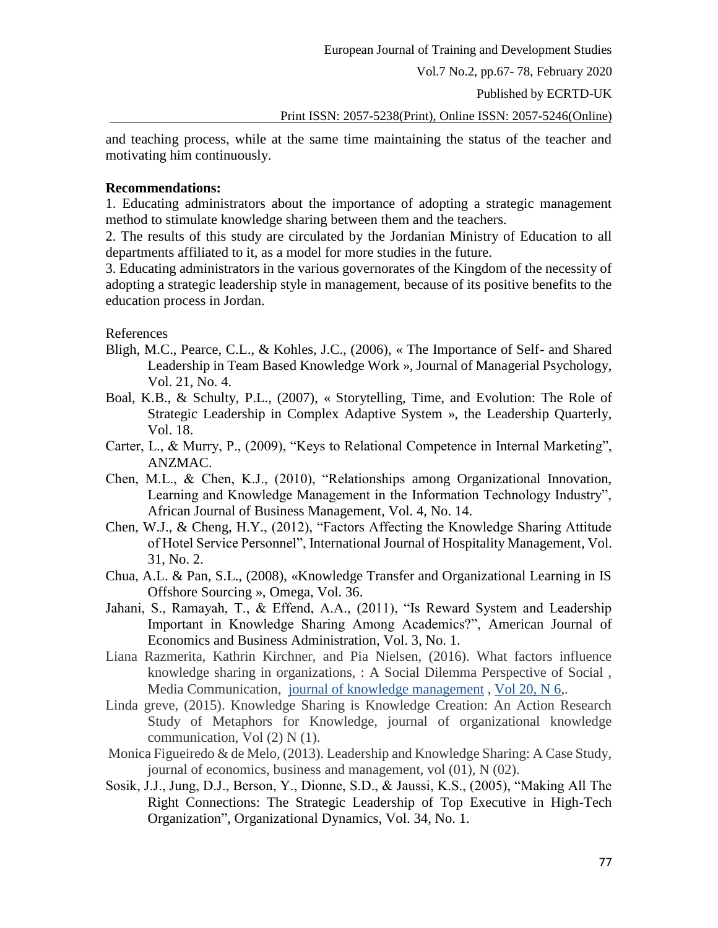Published by ECRTD-UK

Print ISSN: 2057-5238(Print), Online ISSN: 2057-5246(Online)

and teaching process, while at the same time maintaining the status of the teacher and motivating him continuously.

#### **Recommendations:**

1. Educating administrators about the importance of adopting a strategic management method to stimulate knowledge sharing between them and the teachers.

2. The results of this study are circulated by the Jordanian Ministry of Education to all departments affiliated to it, as a model for more studies in the future.

3. Educating administrators in the various governorates of the Kingdom of the necessity of adopting a strategic leadership style in management, because of its positive benefits to the education process in Jordan.

References

- Bligh, M.C., Pearce, C.L., & Kohles, J.C., (2006), « The Importance of Self- and Shared Leadership in Team Based Knowledge Work », Journal of Managerial Psychology, Vol. 21, No. 4.
- Boal, K.B., & Schulty, P.L., (2007), « Storytelling, Time, and Evolution: The Role of Strategic Leadership in Complex Adaptive System », the Leadership Quarterly, Vol. 18.
- Carter, L., & Murry, P., (2009), "Keys to Relational Competence in Internal Marketing", ANZMAC.
- Chen, M.L., & Chen, K.J., (2010), "Relationships among Organizational Innovation, Learning and Knowledge Management in the Information Technology Industry", African Journal of Business Management, Vol. 4, No. 14.
- Chen, W.J., & Cheng, H.Y., (2012), "Factors Affecting the Knowledge Sharing Attitude of Hotel Service Personnel", International Journal of Hospitality Management, Vol. 31, No. 2.
- Chua, A.L. & Pan, S.L., (2008), «Knowledge Transfer and Organizational Learning in IS Offshore Sourcing », Omega, Vol. 36.
- Jahani, S., Ramayah, T., & Effend, A.A., (2011), "Is Reward System and Leadership Important in Knowledge Sharing Among Academics?", American Journal of Economics and Business Administration, Vol. 3, No. 1.
- Liana Razmerita, Kathrin Kirchner, and Pia Nielsen, (2016). What factors influence knowledge sharing in organizations, : A Social Dilemma Perspective of Social , Media Communication, [journal of knowledge management](https://www.emeraldinsight.com/loi/jkm) , [Vol 20, N 6,](https://www.emeraldinsight.com/toc/jkm/20/6).
- Linda greve, (2015). Knowledge Sharing is Knowledge Creation: An Action Research Study of Metaphors for Knowledge, journal of organizational knowledge communication, Vol (2) N (1).
- Monica Figueiredo & de Melo*,* (2013). Leadership and Knowledge Sharing: A Case Study, journal of economics, business and management, vol (01), N (02).
- Sosik, J.J., Jung, D.J., Berson, Y., Dionne, S.D., & Jaussi, K.S., (2005), "Making All The Right Connections: The Strategic Leadership of Top Executive in High-Tech Organization", Organizational Dynamics, Vol. 34, No. 1.